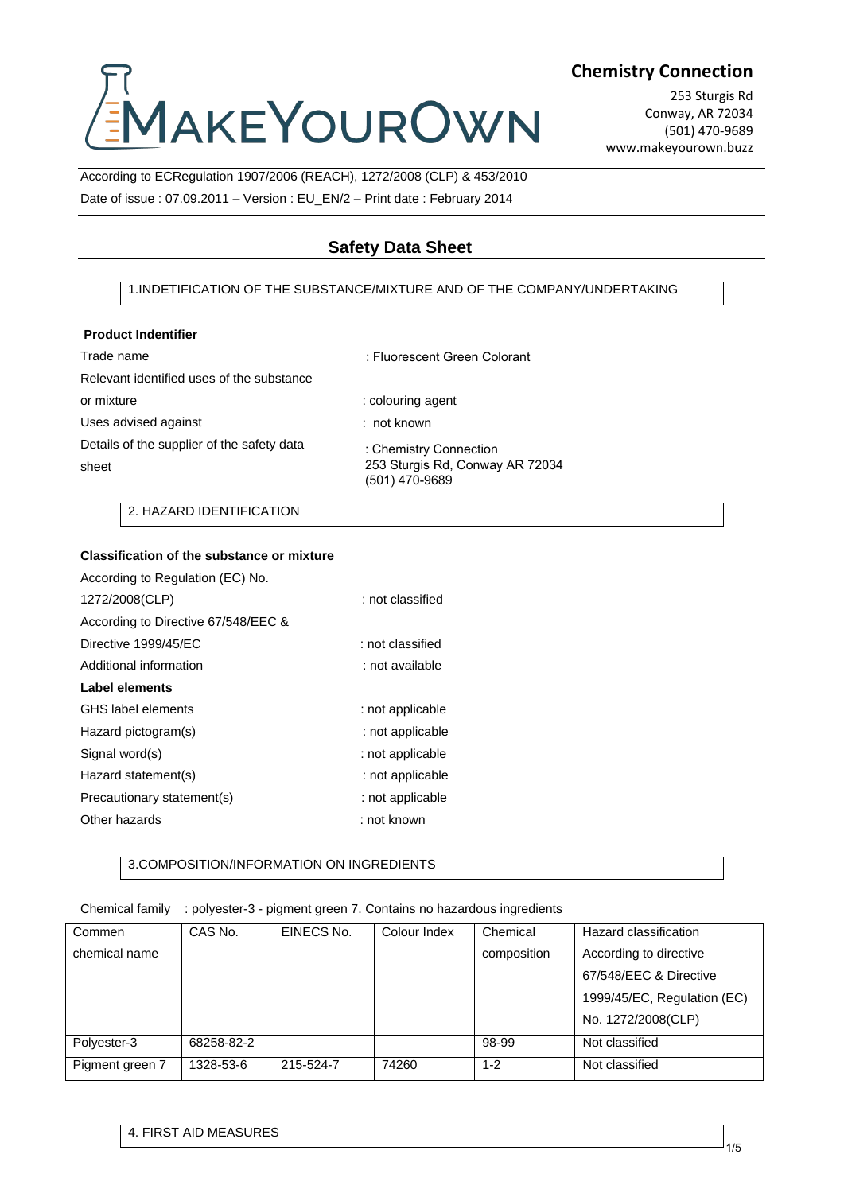# **IAKEYOUROWN**

## **Chemistry Connection**

253 Sturgis Rd Conway, AR 72034 (501) 470-9689 www.makeyourown.buzz

According to ECRegulation 1907/2006 (REACH), 1272/2008 (CLP) & 453/2010 Date of issue : 07.09.2011 – Version : EU\_EN/2 – Print date : February 2014

# **Safety Data Sheet**

### 1.INDETIFICATION OF THE SUBSTANCE/MIXTURE AND OF THE COMPANY/UNDERTAKING

#### **Product Indentifier**

| Trade name                                          | : Fluorescent Green Colorant                                                |
|-----------------------------------------------------|-----------------------------------------------------------------------------|
| Relevant identified uses of the substance           |                                                                             |
| or mixture                                          | : colouring agent                                                           |
| Uses advised against                                | $:$ not known                                                               |
| Details of the supplier of the safety data<br>sheet | : Chemistry Connection<br>253 Sturgis Rd, Conway AR 72034<br>(501) 470-9689 |
|                                                     |                                                                             |

2. HAZARD IDENTIFICATION

### **Classification of the substance or mixture**

| According to Regulation (EC) No.    |                  |
|-------------------------------------|------------------|
| 1272/2008(CLP)                      | : not classified |
| According to Directive 67/548/EEC & |                  |
| Directive 1999/45/EC                | : not classified |
| Additional information              | : not available  |
| <b>Label elements</b>               |                  |
| GHS label elements                  | : not applicable |
| Hazard pictogram(s)                 | : not applicable |
| Signal word(s)                      | : not applicable |
| Hazard statement(s)                 | : not applicable |
| Precautionary statement(s)          | : not applicable |
| Other hazards                       | : not known      |

### 3.COMPOSITION/INFORMATION ON INGREDIENTS

#### Chemical family : polyester-3 - pigment green 7. Contains no hazardous ingredients

| Commen          | CAS No.    | EINECS No. | Colour Index | Chemical    | Hazard classification       |
|-----------------|------------|------------|--------------|-------------|-----------------------------|
| chemical name   |            |            |              | composition | According to directive      |
|                 |            |            |              |             | 67/548/EEC & Directive      |
|                 |            |            |              |             | 1999/45/EC, Regulation (EC) |
|                 |            |            |              |             | No. 1272/2008(CLP)          |
| Polyester-3     | 68258-82-2 |            |              | 98-99       | Not classified              |
| Pigment green 7 | 1328-53-6  | 215-524-7  | 74260        | $1 - 2$     | Not classified              |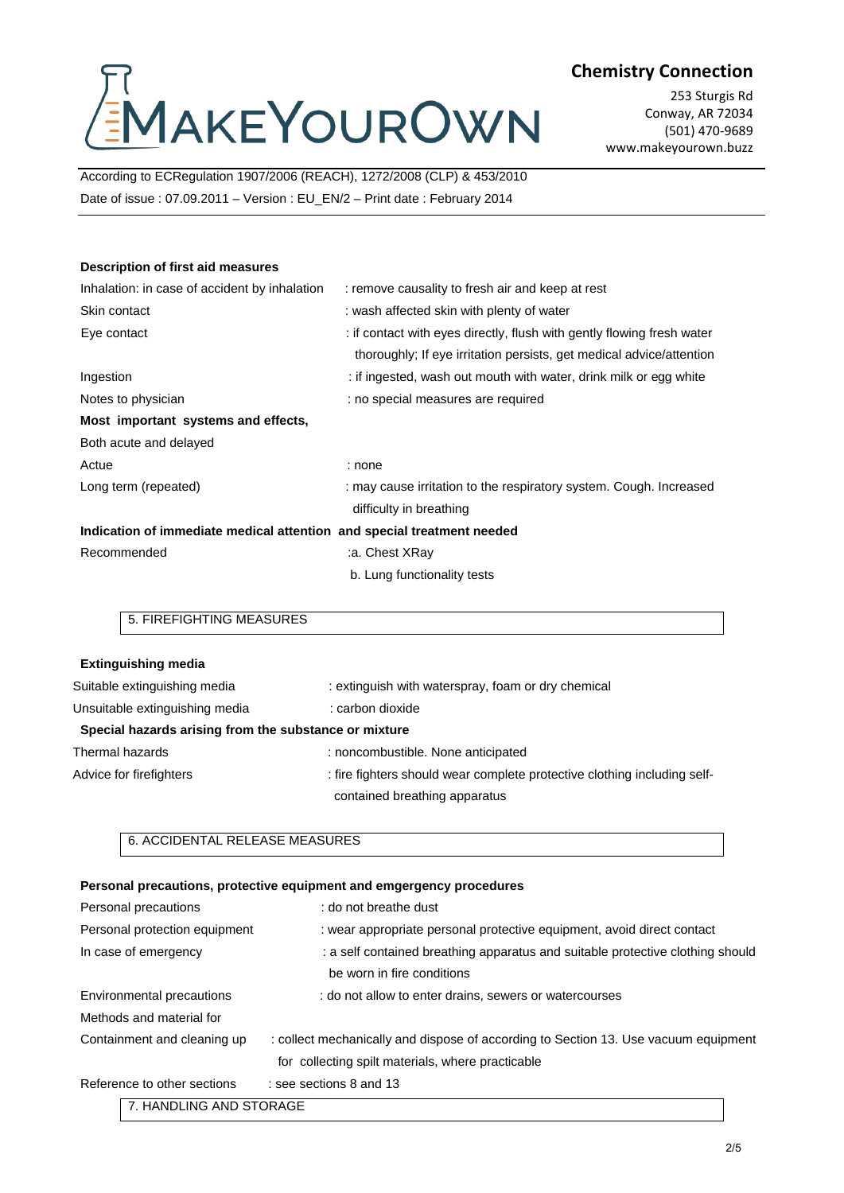# AAKEYOUROWN

# **Chemistry Connection**

253 Sturgis Rd Conway, AR 72034 (501) 470-9689 www.makeyourown.buzz

According to ECRegulation 1907/2006 (REACH), 1272/2008 (CLP) & 453/2010 Date of issue : 07.09.2011 – Version : EU\_EN/2 – Print date : February 2014

#### **Description of first aid measures**

| Inhalation: in case of accident by inhalation                          | : remove causality to fresh air and keep at rest                       |  |
|------------------------------------------------------------------------|------------------------------------------------------------------------|--|
| Skin contact                                                           | : wash affected skin with plenty of water                              |  |
| Eye contact                                                            | : if contact with eyes directly, flush with gently flowing fresh water |  |
|                                                                        | thoroughly; If eye irritation persists, get medical advice/attention   |  |
| Ingestion                                                              | : if ingested, wash out mouth with water, drink milk or egg white      |  |
| Notes to physician                                                     | : no special measures are required                                     |  |
| Most important systems and effects,                                    |                                                                        |  |
| Both acute and delayed                                                 |                                                                        |  |
| Actue                                                                  | : none                                                                 |  |
| Long term (repeated)                                                   | : may cause irritation to the respiratory system. Cough. Increased     |  |
|                                                                        | difficulty in breathing                                                |  |
| Indication of immediate medical attention and special treatment needed |                                                                        |  |
| Recommended                                                            | a. Chest XRay:                                                         |  |
|                                                                        | b. Lung functionality tests                                            |  |

## 5. FIREFIGHTING MEASURES

| <b>Extinguishing media</b>                            |                                                                          |
|-------------------------------------------------------|--------------------------------------------------------------------------|
| Suitable extinguishing media                          | : extinguish with waterspray, foam or dry chemical                       |
| Unsuitable extinguishing media                        | : carbon dioxide                                                         |
| Special hazards arising from the substance or mixture |                                                                          |
| Thermal hazards                                       | : noncombustible. None anticipated                                       |
| Advice for firefighters                               | : fire fighters should wear complete protective clothing including self- |
|                                                       | contained breathing apparatus                                            |

#### 6. ACCIDENTAL RELEASE MEASURES

#### **Personal precautions, protective equipment and emgergency procedures**

| Personal precautions          | : do not breathe dust                                                               |
|-------------------------------|-------------------------------------------------------------------------------------|
| Personal protection equipment | : wear appropriate personal protective equipment, avoid direct contact              |
| In case of emergency          | : a self contained breathing apparatus and suitable protective clothing should      |
|                               | be worn in fire conditions                                                          |
| Environmental precautions     | : do not allow to enter drains, sewers or watercourses                              |
| Methods and material for      |                                                                                     |
| Containment and cleaning up   | : collect mechanically and dispose of according to Section 13. Use vacuum equipment |
|                               | for collecting spilt materials, where practicable                                   |
| Reference to other sections   | : see sections 8 and 13                                                             |
| 7. HANDLING AND STORAGE       |                                                                                     |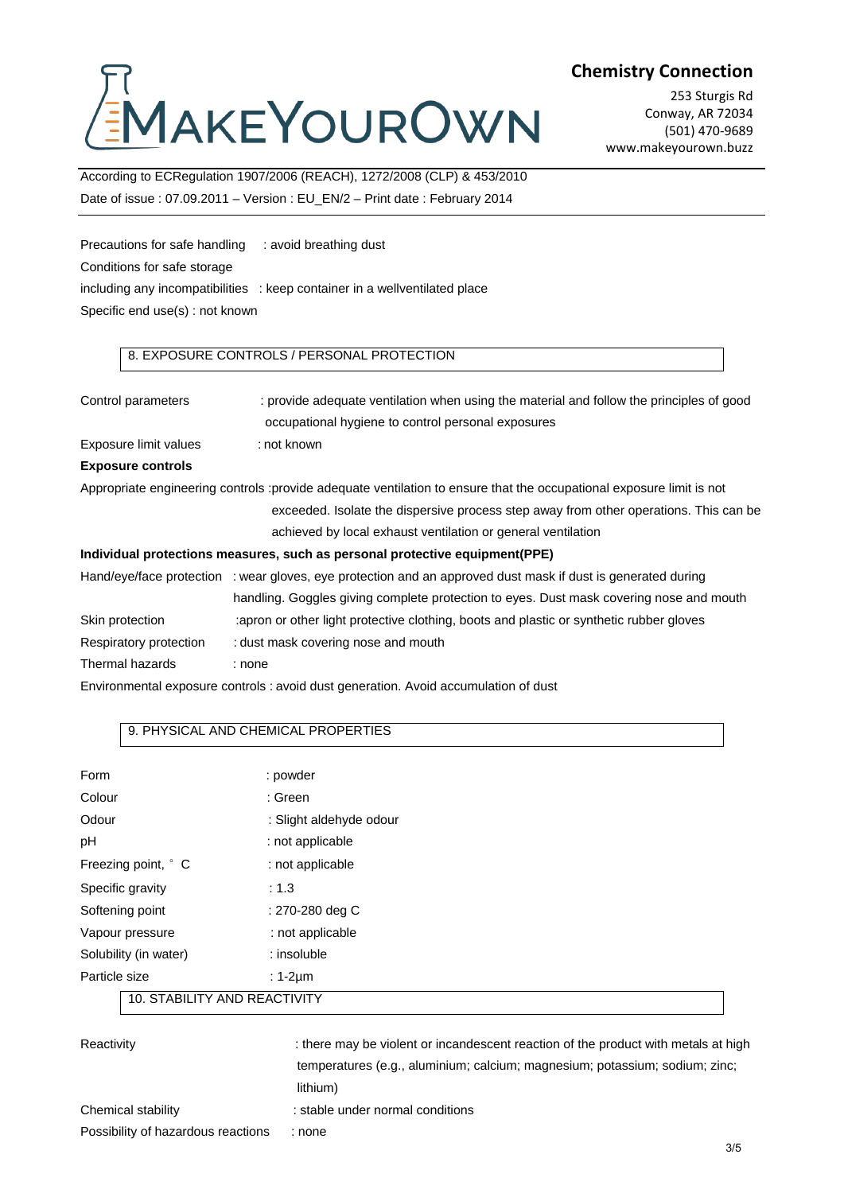# MAKEYOUROWN

**Chemistry Connection**

253 Sturgis Rd Conway, AR 72034 (501) 470-9689 www.makeyourown.buzz

According to ECRegulation 1907/2006 (REACH), 1272/2008 (CLP) & 453/2010 Date of issue : 07.09.2011 – Version : EU\_EN/2 – Print date : February 2014

Precautions for safe handling : avoid breathing dust Conditions for safe storage including any incompatibilities : keep container in a wellventilated place Specific end use(s) : not known

## 8. EXPOSURE CONTROLS / PERSONAL PROTECTION

| Control parameters       | : provide adequate ventilation when using the material and follow the principles of good<br>occupational hygiene to control personal exposures                                     |
|--------------------------|------------------------------------------------------------------------------------------------------------------------------------------------------------------------------------|
| Exposure limit values    | : not known                                                                                                                                                                        |
| <b>Exposure controls</b> |                                                                                                                                                                                    |
|                          | Appropriate engineering controls :provide adequate ventilation to ensure that the occupational exposure limit is not                                                               |
|                          | exceeded. Isolate the dispersive process step away from other operations. This can be                                                                                              |
|                          | achieved by local exhaust ventilation or general ventilation                                                                                                                       |
|                          | Individual protections measures, such as personal protective equipment (PPE)                                                                                                       |
|                          | Hand/eye/face protection : wear gloves, eye protection and an approved dust mask if dust is generated during                                                                       |
| Skin protection          | handling. Goggles giving complete protection to eyes. Dust mask covering nose and mouth<br>apron or other light protective clothing, boots and plastic or synthetic rubber gloves: |
|                          |                                                                                                                                                                                    |

Respiratory protection : dust mask covering nose and mouth

Thermal hazards : none

Environmental exposure controls : avoid dust generation. Avoid accumulation of dust

### 9. PHYSICAL AND CHEMICAL PROPERTIES

| Form                         | : powder                |  |
|------------------------------|-------------------------|--|
| Colour                       | : Green                 |  |
| Odour                        | : Slight aldehyde odour |  |
| рH                           | : not applicable        |  |
| Freezing point, ° C          | : not applicable        |  |
| Specific gravity             | : 1.3                   |  |
| Softening point              | : 270-280 deg C         |  |
| Vapour pressure              | : not applicable        |  |
| Solubility (in water)        | : insoluble             |  |
| Particle size                | $: 1-2 \mu m$           |  |
| 10. STABILITY AND REACTIVITY |                         |  |

| Reactivity                         | : there may be violent or incandescent reaction of the product with metals at high |
|------------------------------------|------------------------------------------------------------------------------------|
|                                    | temperatures (e.g., aluminium; calcium; magnesium; potassium; sodium; zinc;        |
|                                    | lithium)                                                                           |
| Chemical stability                 | : stable under normal conditions                                                   |
| Possibility of hazardous reactions | none :                                                                             |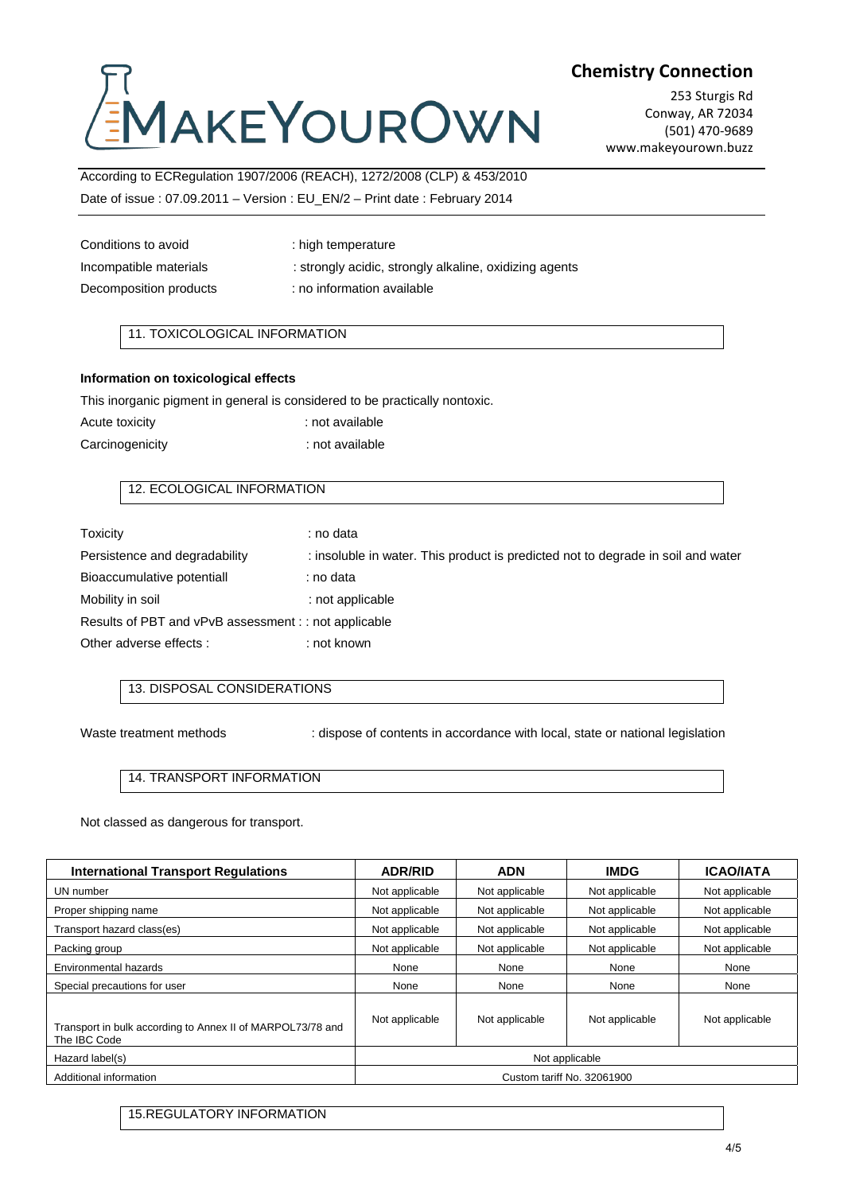# AKEYOUROWN

## **Chemistry Connection**

253 Sturgis Rd Conway, AR 72034 (501) 470-9689 www.makeyourown.buzz

## According to ECRegulation 1907/2006 (REACH), 1272/2008 (CLP) & 453/2010 Date of issue : 07.09.2011 – Version : EU\_EN/2 – Print date : February 2014

| : high temperature                                     |
|--------------------------------------------------------|
| : strongly acidic, strongly alkaline, oxidizing agents |
| : no information available                             |
|                                                        |

## 11. TOXICOLOGICAL INFORMATION

#### **Information on toxicological effects**

This inorganic pigment in general is considered to be practically nontoxic.

| Acute toxicity  | : not available |
|-----------------|-----------------|
| Carcinogenicity | : not available |

### 12. ECOLOGICAL INFORMATION

| Toxicity                                              | : no data                                                                        |  |
|-------------------------------------------------------|----------------------------------------------------------------------------------|--|
| Persistence and degradability                         | : insoluble in water. This product is predicted not to degrade in soil and water |  |
| Bioaccumulative potentiall                            | : no data                                                                        |  |
| Mobility in soil                                      | : not applicable                                                                 |  |
| Results of PBT and vPvB assessment : : not applicable |                                                                                  |  |
| Other adverse effects :                               | : not known                                                                      |  |

#### 13. DISPOSAL CONSIDERATIONS

Waste treatment methods : dispose of contents in accordance with local, state or national legislation

#### 14. TRANSPORT INFORMATION

Not classed as dangerous for transport.

| <b>International Transport Regulations</b>                                 | <b>ADR/RID</b>             | <b>ADN</b>     | <b>IMDG</b>    | <b>ICAO/IATA</b> |
|----------------------------------------------------------------------------|----------------------------|----------------|----------------|------------------|
| UN number                                                                  | Not applicable             | Not applicable | Not applicable | Not applicable   |
| Proper shipping name                                                       | Not applicable             | Not applicable | Not applicable | Not applicable   |
| Transport hazard class(es)                                                 | Not applicable             | Not applicable | Not applicable | Not applicable   |
| Packing group                                                              | Not applicable             | Not applicable | Not applicable | Not applicable   |
| Environmental hazards                                                      | None                       | None           | None           | None             |
| Special precautions for user                                               | None                       | None           | None           | None             |
| Transport in bulk according to Annex II of MARPOL73/78 and<br>The IBC Code | Not applicable             | Not applicable | Not applicable | Not applicable   |
| Hazard label(s)                                                            | Not applicable             |                |                |                  |
| Additional information                                                     | Custom tariff No. 32061900 |                |                |                  |

15.REGULATORY INFORMATION